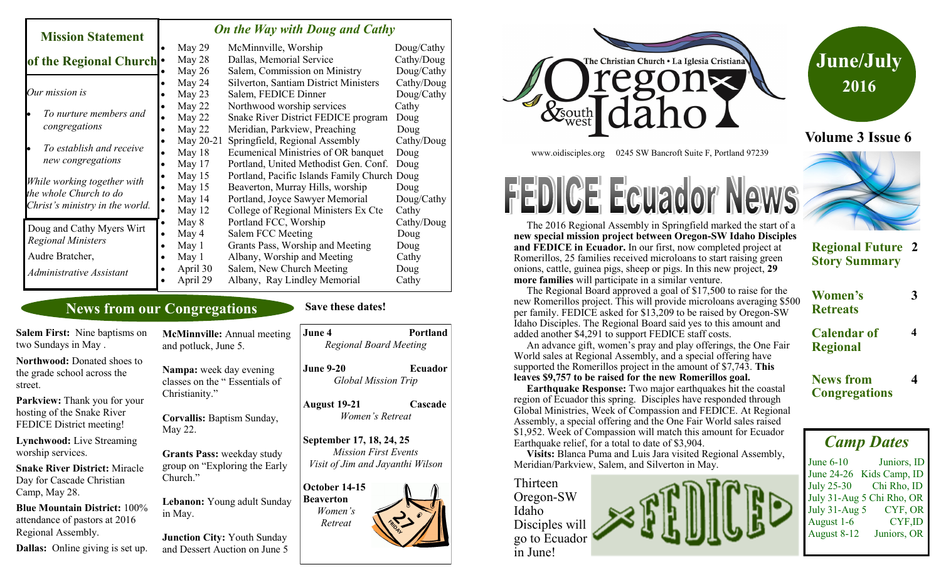#### *On the Way with Doug and Cathy*

| MISSION STATEMENT                                                                        |  |           |                                              |            |
|------------------------------------------------------------------------------------------|--|-----------|----------------------------------------------|------------|
|                                                                                          |  | May 29    | McMinnville, Worship                         | Doug/Cathy |
| of the Regional Church .                                                                 |  | May 28    | Dallas, Memorial Service                     | Cathy/Doug |
|                                                                                          |  | May 26    | Salem, Commission on Ministry                | Doug/Cathy |
| Our mission is                                                                           |  | May 24    | Silverton, Santiam District Ministers        | Cathy/Doug |
|                                                                                          |  | May 23    | Salem, FEDICE Dinner                         | Doug/Cathy |
| To nurture members and<br>congregations                                                  |  | May 22    | Northwood worship services                   | Cathy      |
|                                                                                          |  | May 22    | Snake River District FEDICE program          | Doug       |
|                                                                                          |  | May 22    | Meridian, Parkview, Preaching                | Doug       |
| To establish and receive<br>new congregations                                            |  | May 20-21 | Springfield, Regional Assembly               | Cathy/Doug |
|                                                                                          |  | May 18    | Ecumenical Ministries of OR banquet          | Doug       |
|                                                                                          |  | May 17    | Portland, United Methodist Gen. Conf.        | Doug       |
| While working together with<br>the whole Church to do<br>Christ's ministry in the world. |  | May 15    | Portland, Pacific Islands Family Church Doug |            |
|                                                                                          |  | May 15    | Beaverton, Murray Hills, worship             | Doug       |
|                                                                                          |  | May 14    | Portland, Joyce Sawyer Memorial              | Doug/Cathy |
|                                                                                          |  | May 12    | College of Regional Ministers Ex Cte         | Cathy      |
| Doug and Cathy Myers Wirt<br><b>Regional Ministers</b>                                   |  | May 8     | Portland FCC, Worship                        | Cathy/Doug |
|                                                                                          |  | May 4     | Salem FCC Meeting                            | Doug       |
|                                                                                          |  | May 1     | Grants Pass, Worship and Meeting             | Doug       |
| Audre Bratcher,                                                                          |  | May 1     | Albany, Worship and Meeting                  | Cathy      |
| Administrative Assistant                                                                 |  | April 30  | Salem, New Church Meeting                    | Doug       |
|                                                                                          |  | April 29  | Albany, Ray Lindley Memorial                 | Cathy      |
|                                                                                          |  |           |                                              |            |

## **News from our Congregations**

**Mission Statement** 

**Dallas:** Online giving is set up.

#### **Save these dates!**

| <b>Salem First:</b> Nine baptisms on<br>two Sundays in May.                                   | <b>McMinnville:</b> Annual meeting<br>and potluck, June 5. | June 4<br><b>Portland</b><br><b>Regional Board Meeting</b> |  |
|-----------------------------------------------------------------------------------------------|------------------------------------------------------------|------------------------------------------------------------|--|
| <b>Northwood: Donated shoes to</b><br>the grade school across the<br>street.                  | Nampa: week day evening<br>classes on the "Essentials of   | <b>June 9-20</b><br>Ecuador<br><b>Global Mission Trip</b>  |  |
| Parkview: Thank you for your<br>hosting of the Snake River<br><b>FEDICE District meeting!</b> | Christianity."<br>Corvallis: Baptism Sunday,<br>May 22.    | <b>August 19-21</b><br>Cascade<br>Women's Retreat          |  |
| <b>Lynchwood:</b> Live Streaming<br>worship services.                                         | <b>Grants Pass: weekday study</b>                          | September 17, 18, 24, 25<br><b>Mission First Events</b>    |  |
| <b>Snake River District: Miracle</b><br>Day for Cascade Christian<br>Camp, May 28.            | group on "Exploring the Early"<br>Church."                 | Visit of Jim and Jayanthi Wilson<br>October 14-15          |  |
| <b>Blue Mountain District:</b> 100%<br>attendance of pastors at 2016                          | Lebanon: Young adult Sunday<br>in May.                     | <b>Beaverton</b><br>Women's<br>Retreat                     |  |
| Regional Assembly.                                                                            | <b>Junction City: Youth Sunday</b>                         |                                                            |  |

and Dessert Auction on June 5



www.oidisciples.org 0245 SW Bancroft Suite F, Portland 97239

# **FEDICE Ecuador News**

 The 2016 Regional Assembly in Springfield marked the start of a **new special mission project between Oregon-SW Idaho Disciples and FEDICE in Ecuador.** In our first, now completed project at Romerillos, 25 families received microloans to start raising green onions, cattle, guinea pigs, sheep or pigs. In this new project, **29 more families** will participate in a similar venture.





**Volume 3 Issue 6**

## **Regional Future 2 Story Summary**

 The Regional Board approved a goal of \$17,500 to raise for the new Romerillos project. This will provide microloans averaging \$500 per family. FEDICE asked for \$13,209 to be raised by Oregon-SW Idaho Disciples. The Regional Board said yes to this amount and added another \$4,291 to support FEDICE staff costs.

 An advance gift, women's pray and play offerings, the One Fair World sales at Regional Assembly, and a special offering have supported the Romerillos project in the amount of \$7,743. **This leaves \$9,757 to be raised for the new Romerillos goal.**

 **Earthquake Response:** Two major earthquakes hit the coastal region of Ecuador this spring. Disciples have responded through Global Ministries, Week of Compassion and FEDICE. At Regional Assembly, a special offering and the One Fair World sales raised \$1,952. Week of Compassion will match this amount for Ecuador Earthquake relief, for a total to date of \$3,904.

 **Visits:** Blanca Puma and Luis Jara visited Regional Assembly, Meridian/Parkview, Salem, and Silverton in May.



| Women's<br><b>Retreats</b>            |  |
|---------------------------------------|--|
| <b>Calendar of</b><br><b>Regional</b> |  |

**News from Congregations**

**4**

# *Camp Dates*

June 6-10 Juniors, ID June 24-26 Kids Camp, ID July 25-30 Chi Rho, ID July 31-Aug 5 Chi Rho, OR July 31-Aug 5 CYF, OR August 1-6 CYF,ID August 8-12 Juniors, OR